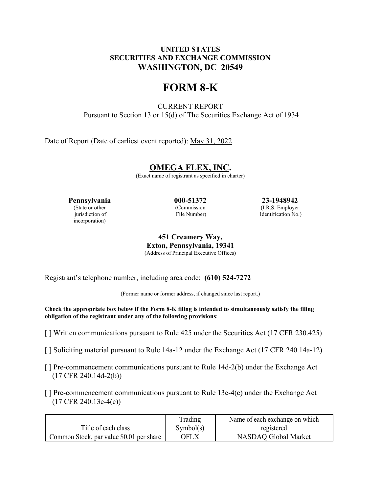#### **UNITED STATES SECURITIES AND EXCHANGE COMMISSION WASHINGTON, DC 20549**

## **FORM 8-K**

CURRENT REPORT Pursuant to Section 13 or 15(d) of The Securities Exchange Act of 1934

Date of Report (Date of earliest event reported): May 31, 2022

### **OMEGA FLEX, INC.**

(Exact name of registrant as specified in charter)

incorporation)

(Commission (I.R.S. Employer)

**Pennsylvania 000-51372 23-1948942**<br> **23-1948942**<br> **Commission** (LR.S. Employer)

jurisdiction of File Number) Identification No.)

**451 Creamery Way, Exton, Pennsylvania, 19341** (Address of Principal Executive Offices)

Registrant's telephone number, including area code: **(610) 524-7272**

(Former name or former address, if changed since last report.)

**Check the appropriate box below if the Form 8-K filing is intended to simultaneously satisfy the filing obligation of the registrant under any of the following provisions**:

- [ ] Written communications pursuant to Rule 425 under the Securities Act (17 CFR 230.425)
- [ ] Soliciting material pursuant to Rule 14a-12 under the Exchange Act (17 CFR 240.14a-12)
- [ ] Pre-commencement communications pursuant to Rule 14d-2(b) under the Exchange Act (17 CFR 240.14d-2(b))
- $\lceil \cdot \rceil$  Pre-commencement communications pursuant to Rule 13e-4(c) under the Exchange Act (17 CFR 240.13e-4(c))

|                                          | Trading   | Name of each exchange on which |
|------------------------------------------|-----------|--------------------------------|
| Title of each class                      | Symbol(s) | registered                     |
| Common Stock, par value \$0.01 per share | OFLX.     | NASDAO Global Market           |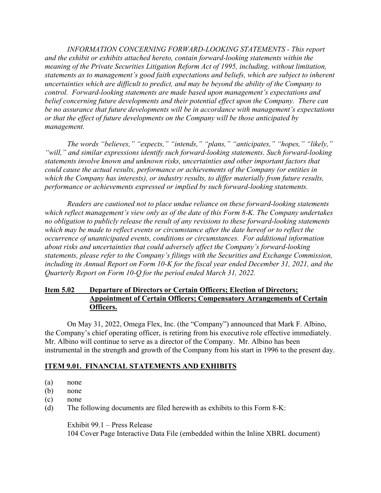*INFORMATION CONCERNING FORWARD-LOOKING STATEMENTS - This report and the exhibit or exhibits attached hereto, contain forward-looking statements within the meaning of the Private Securities Litigation Reform Act of 1995, including, without limitation, statements as to management's good faith expectations and beliefs, which are subject to inherent uncertainties which are difficult to predict, and may be beyond the ability of the Company to control. Forward-looking statements are made based upon management's expectations and belief concerning future developments and their potential effect upon the Company. There can be no assurance that future developments will be in accordance with management's expectations or that the effect of future developments on the Company will be those anticipated by management.*

*The words "believes," "expects," "intends," "plans," "anticipates," "hopes," "likely," "will," and similar expressions identify such forward-looking statements. Such forward-looking statements involve known and unknown risks, uncertainties and other important factors that could cause the actual results, performance or achievements of the Company (or entities in which the Company has interests), or industry results, to differ materially from future results, performance or achievements expressed or implied by such forward-looking statements.*

*Readers are cautioned not to place undue reliance on these forward-looking statements which reflect management's view only as of the date of this Form 8-K. The Company undertakes no obligation to publicly release the result of any revisions to these forward-looking statements which may be made to reflect events or circumstance after the date hereof or to reflect the occurrence of unanticipated events, conditions or circumstances. For additional information about risks and uncertainties that could adversely affect the Company's forward-looking statements, please refer to the Company's filings with the Securities and Exchange Commission, including its Annual Report on Form 10-K for the fiscal year ended December 31, 2021, and the Quarterly Report on Form 10-Q for the period ended March 31, 2022.*

#### **Item 5.02 Departure of Directors or Certain Officers; Election of Directors; Appointment of Certain Officers; Compensatory Arrangements of Certain Officers.**

On May 31, 2022, Omega Flex, Inc. (the "Company") announced that Mark F. Albino, the Company's chief operating officer, is retiring from his executive role effective immediately. Mr. Albino will continue to serve as a director of the Company. Mr. Albino has been instrumental in the strength and growth of the Company from his start in 1996 to the present day.

#### **ITEM 9.01. FINANCIAL STATEMENTS AND EXHIBITS**

- (a) none
- (b) none
- (c) none
- (d) The following documents are filed herewith as exhibits to this Form 8-K:

Exhibit 99.1 – Press Release

104 Cover Page Interactive Data File (embedded within the Inline XBRL document)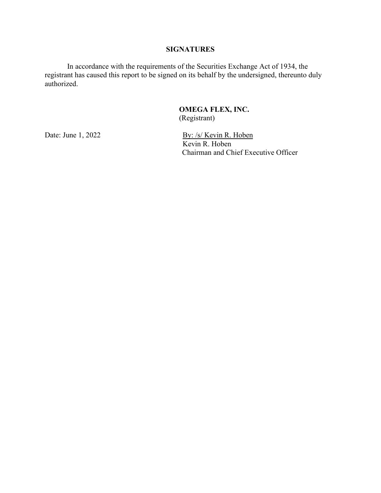#### **SIGNATURES**

In accordance with the requirements of the Securities Exchange Act of 1934, the registrant has caused this report to be signed on its behalf by the undersigned, thereunto duly authorized.

#### **OMEGA FLEX, INC.** (Registrant)

Date: June 1, 2022 By: /s/ Kevin R. Hoben Kevin R. Hoben Chairman and Chief Executive Officer